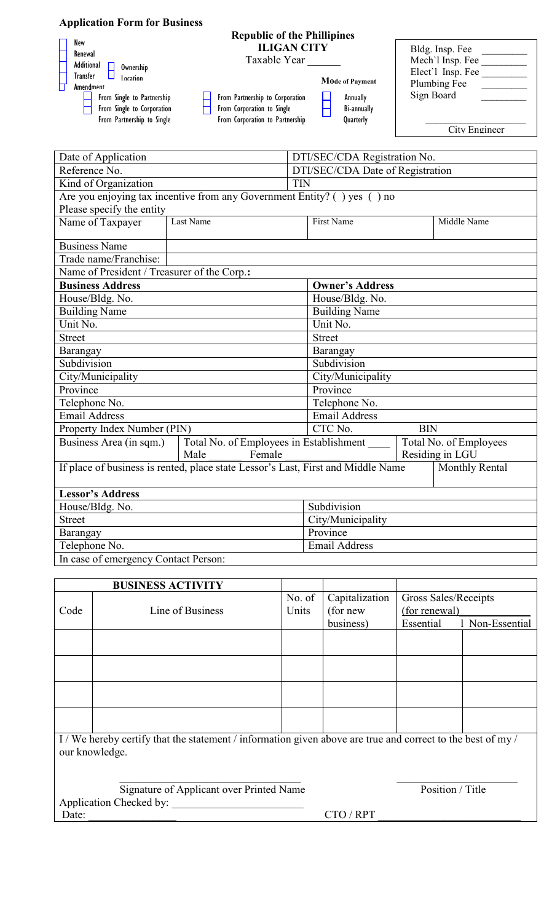| <b>Application Form for Business</b>                                                                                                                                                   |                                                                                                                                                                                                                                                |                                                                                                         |
|----------------------------------------------------------------------------------------------------------------------------------------------------------------------------------------|------------------------------------------------------------------------------------------------------------------------------------------------------------------------------------------------------------------------------------------------|---------------------------------------------------------------------------------------------------------|
| New<br>Renewal<br>Additional<br>Ownership<br>Transfer<br><b>Incation</b><br><b>Amendment</b><br>From Single to Partnership<br>From Single to Corporation<br>From Partnership to Single | <b>Republic of the Phillipines</b><br><b>ILIGAN CITY</b><br>Taxable Year<br><b>Mode of Payment</b><br>From Partnership to Corporation<br>Annually<br>From Corporation to Single<br>Bi-annually<br>From Corporation to Partnership<br>Quarterly | Bldg. Insp. Fee<br>Mech'l Insp. Fee<br>Elect'l Insp. Fee<br>Plumbing Fee<br>Sign Board<br>City Engineer |

| Date of Application                                                              |                                                           |                        | DTI/SEC/CDA Registration No.     |                                           |             |  |  |  |
|----------------------------------------------------------------------------------|-----------------------------------------------------------|------------------------|----------------------------------|-------------------------------------------|-------------|--|--|--|
| Reference No.                                                                    |                                                           |                        | DTI/SEC/CDA Date of Registration |                                           |             |  |  |  |
| Kind of Organization                                                             |                                                           |                        | <b>TIN</b>                       |                                           |             |  |  |  |
| Are you enjoying tax incentive from any Government Entity? () yes () no          |                                                           |                        |                                  |                                           |             |  |  |  |
| Please specify the entity                                                        |                                                           |                        |                                  |                                           |             |  |  |  |
| Name of Taxpayer                                                                 | Last Name                                                 |                        | <b>First Name</b>                |                                           | Middle Name |  |  |  |
| <b>Business Name</b>                                                             |                                                           |                        |                                  |                                           |             |  |  |  |
| Trade name/Franchise:                                                            |                                                           |                        |                                  |                                           |             |  |  |  |
| Name of President / Treasurer of the Corp.:                                      |                                                           |                        |                                  |                                           |             |  |  |  |
| <b>Business Address</b>                                                          |                                                           | <b>Owner's Address</b> |                                  |                                           |             |  |  |  |
| House/Bldg. No.                                                                  |                                                           |                        | House/Bldg. No.                  |                                           |             |  |  |  |
| <b>Building Name</b>                                                             |                                                           |                        | <b>Building Name</b>             |                                           |             |  |  |  |
| Unit No.                                                                         |                                                           |                        | Unit No.                         |                                           |             |  |  |  |
| <b>Street</b>                                                                    |                                                           |                        | <b>Street</b>                    |                                           |             |  |  |  |
| Barangay                                                                         |                                                           |                        | Barangay                         |                                           |             |  |  |  |
| Subdivision                                                                      |                                                           |                        | Subdivision                      |                                           |             |  |  |  |
| City/Municipality                                                                |                                                           |                        | City/Municipality                |                                           |             |  |  |  |
| Province                                                                         |                                                           |                        | Province                         |                                           |             |  |  |  |
| Telephone No.                                                                    |                                                           |                        | Telephone No.                    |                                           |             |  |  |  |
| Email Address                                                                    |                                                           |                        | <b>Email Address</b>             |                                           |             |  |  |  |
| Property Index Number (PIN)                                                      |                                                           | CTC No.<br><b>BIN</b>  |                                  |                                           |             |  |  |  |
| Business Area (in sqm.)                                                          | Total No. of Employees in Establishment<br>Male<br>Female |                        |                                  | Total No. of Employees<br>Residing in LGU |             |  |  |  |
|                                                                                  |                                                           | Monthly Rental         |                                  |                                           |             |  |  |  |
| If place of business is rented, place state Lessor's Last, First and Middle Name |                                                           |                        |                                  |                                           |             |  |  |  |
| <b>Lessor's Address</b>                                                          |                                                           |                        |                                  |                                           |             |  |  |  |
| House/Bldg. No.                                                                  |                                                           | Subdivision            |                                  |                                           |             |  |  |  |
| <b>Street</b>                                                                    |                                                           |                        | City/Municipality                |                                           |             |  |  |  |
| Barangay                                                                         |                                                           |                        | Province                         |                                           |             |  |  |  |
| Telephone No.                                                                    |                                                           |                        | Email Address                    |                                           |             |  |  |  |
| In case of emergency Contact Person:                                             |                                                           |                        |                                  |                                           |             |  |  |  |

In case of emergency Contact Person:

|                                                                                                                             | <b>BUSINESS ACTIVITY</b> |                 |                            |                                       |                 |  |  |  |
|-----------------------------------------------------------------------------------------------------------------------------|--------------------------|-----------------|----------------------------|---------------------------------------|-----------------|--|--|--|
| Code                                                                                                                        | Line of Business         | No. of<br>Units | Capitalization<br>(for new | Gross Sales/Receipts<br>(for renewal) |                 |  |  |  |
|                                                                                                                             |                          |                 | business)                  | Essential                             | 1 Non-Essential |  |  |  |
|                                                                                                                             |                          |                 |                            |                                       |                 |  |  |  |
|                                                                                                                             |                          |                 |                            |                                       |                 |  |  |  |
|                                                                                                                             |                          |                 |                            |                                       |                 |  |  |  |
|                                                                                                                             |                          |                 |                            |                                       |                 |  |  |  |
| I/We hereby certify that the statement / information given above are true and correct to the best of my /<br>our knowledge. |                          |                 |                            |                                       |                 |  |  |  |
| Signature of Applicant over Printed Name<br>Application Checked by:                                                         |                          |                 | Position / Title           |                                       |                 |  |  |  |
| Date:                                                                                                                       |                          |                 | CTO / RPT                  |                                       |                 |  |  |  |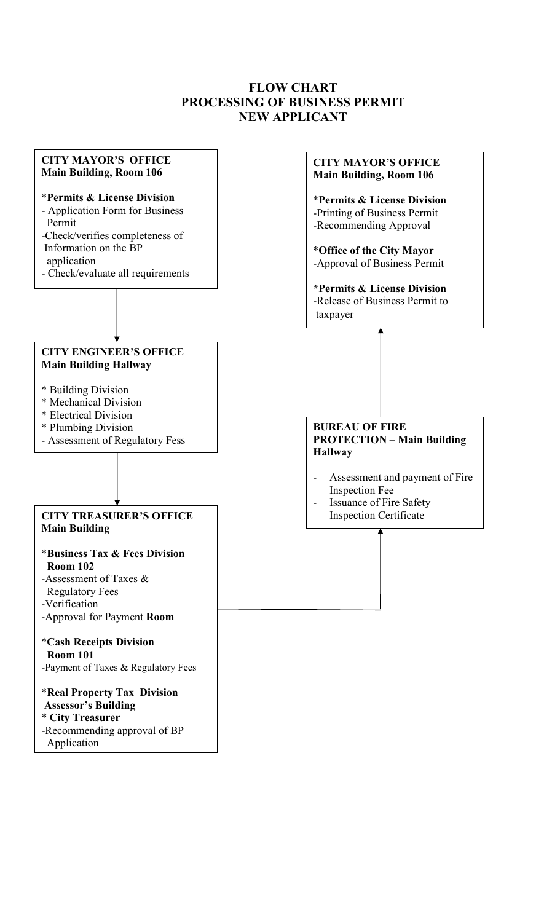# **FLOW CHART PROCESSING OF BUSINESS PERMIT NEW APPLICANT**

#### **CITY MAYOR'S OFFICE Main Building, Room 106**

#### \***Permits & License Division**

- Application Form for Business Permit
- -Check/verifies completeness of Information on the BP application
- Check/evaluate all requirements

## **CITY ENGINEER'S OFFICE Main Building Hallway**

- \* Building Division
- \* Mechanical Division
- \* Electrical Division
- \* Plumbing Division
- Assessment of Regulatory Fess

## **Main Building CITY TREASURER'S OFFICE**

## \***Business Tax & Fees Division Room 102**

- -Assessment of Taxes & Regulatory Fees
- -Verification
- -Approval for Payment **Room**

#### \***Cash Receipts Division Room 101**

-Payment of Taxes & Regulatory Fees

#### \***Real Property Tax Division Assessor's Building**

\* **City Treasurer** 

-Recommending approval of BP Application

## **CITY MAYOR'S OFFICE Main Building, Room 106**

\***Permits & License Division** -Printing of Business Permit -Recommending Approval

\***Office of the City Mayor** -Approval of Business Permit

**\*Permits & License Division**  -Release of Business Permit to taxpayer

## **BUREAU OF FIRE PROTECTION – Main Building Hallway**

- Assessment and payment of Fire Inspection Fee
- Issuance of Fire Safety Inspection Certificate